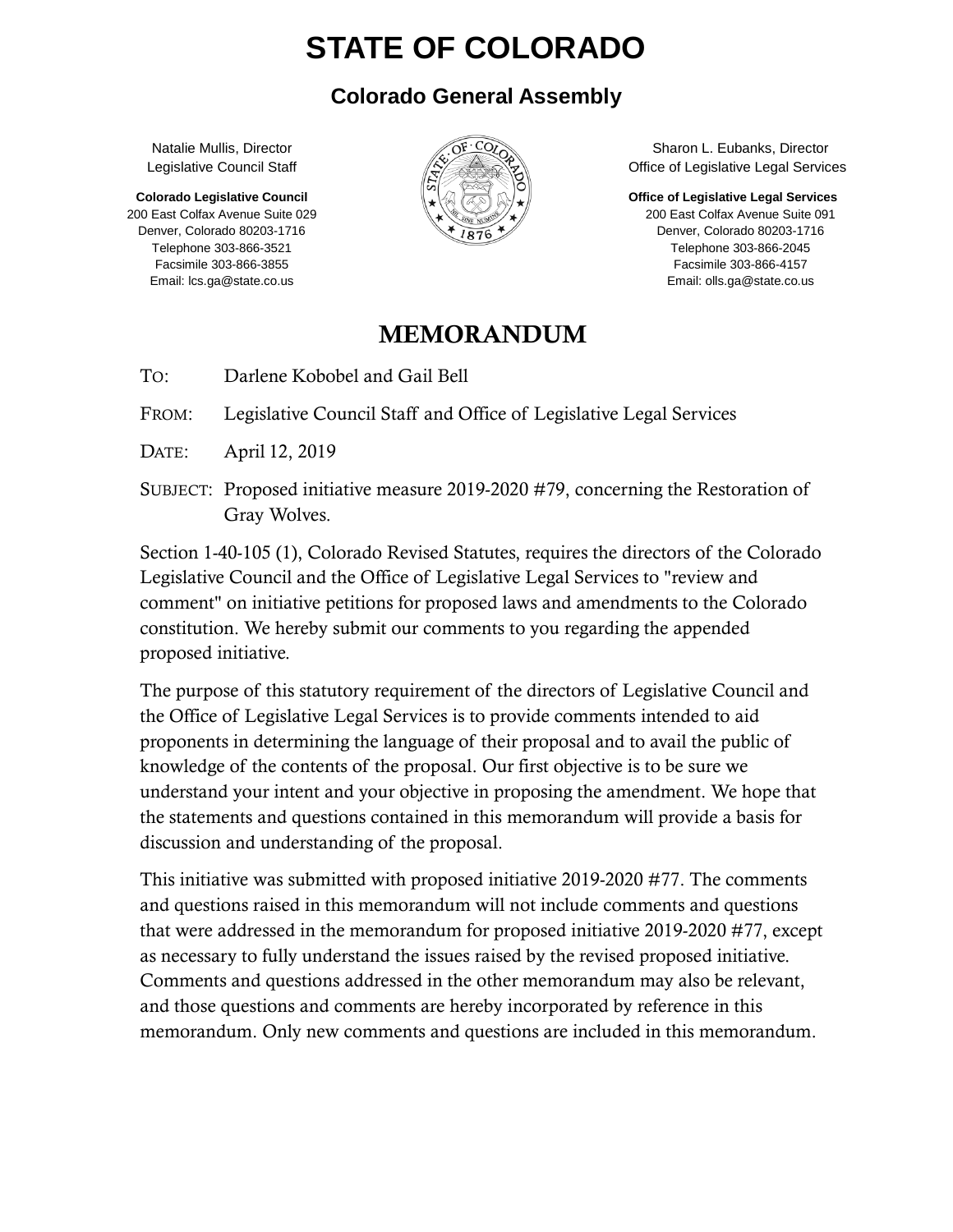# **STATE OF COLORADO**

#### **Colorado General Assembly**

Natalie Mullis, Director Legislative Council Staff

**Colorado Legislative Council** 200 East Colfax Avenue Suite 029 Denver, Colorado 80203-1716 Telephone 303-866-3521 Facsimile 303-866-3855 Email: lcs.ga@state.co.us



Sharon L. Eubanks, Director Office of Legislative Legal Services

**Office of Legislative Legal Services**

200 East Colfax Avenue Suite 091 Denver, Colorado 80203-1716 Telephone 303-866-2045 Facsimile 303-866-4157 Email: olls.ga@state.co.us

#### MEMORANDUM

TO: Darlene Kobobel and Gail Bell

FROM: Legislative Council Staff and Office of Legislative Legal Services

DATE: April 12, 2019

SUBJECT: Proposed initiative measure 2019-2020 #79, concerning the Restoration of Gray Wolves.

Section 1-40-105 (1), Colorado Revised Statutes, requires the directors of the Colorado Legislative Council and the Office of Legislative Legal Services to "review and comment" on initiative petitions for proposed laws and amendments to the Colorado constitution. We hereby submit our comments to you regarding the appended proposed initiative.

The purpose of this statutory requirement of the directors of Legislative Council and the Office of Legislative Legal Services is to provide comments intended to aid proponents in determining the language of their proposal and to avail the public of knowledge of the contents of the proposal. Our first objective is to be sure we understand your intent and your objective in proposing the amendment. We hope that the statements and questions contained in this memorandum will provide a basis for discussion and understanding of the proposal.

This initiative was submitted with proposed initiative 2019-2020 #77. The comments and questions raised in this memorandum will not include comments and questions that were addressed in the memorandum for proposed initiative 2019-2020 #77, except as necessary to fully understand the issues raised by the revised proposed initiative. Comments and questions addressed in the other memorandum may also be relevant, and those questions and comments are hereby incorporated by reference in this memorandum. Only new comments and questions are included in this memorandum.